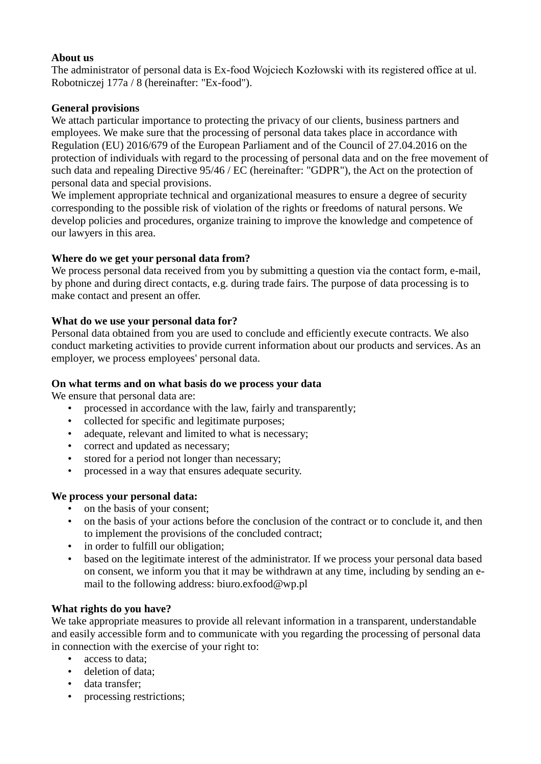## **About us**

The administrator of personal data is Ex-food Wojciech Kozłowski with its registered office at ul. Robotniczej 177a / 8 (hereinafter: "Ex-food").

## **General provisions**

We attach particular importance to protecting the privacy of our clients, business partners and employees. We make sure that the processing of personal data takes place in accordance with Regulation (EU) 2016/679 of the European Parliament and of the Council of 27.04.2016 on the protection of individuals with regard to the processing of personal data and on the free movement of such data and repealing Directive 95/46 / EC (hereinafter: "GDPR"), the Act on the protection of personal data and special provisions.

We implement appropriate technical and organizational measures to ensure a degree of security corresponding to the possible risk of violation of the rights or freedoms of natural persons. We develop policies and procedures, organize training to improve the knowledge and competence of our lawyers in this area.

## **Where do we get your personal data from?**

We process personal data received from you by submitting a question via the contact form, e-mail, by phone and during direct contacts, e.g. during trade fairs. The purpose of data processing is to make contact and present an offer.

## **What do we use your personal data for?**

Personal data obtained from you are used to conclude and efficiently execute contracts. We also conduct marketing activities to provide current information about our products and services. As an employer, we process employees' personal data.

#### **On what terms and on what basis do we process your data**

We ensure that personal data are:

- processed in accordance with the law, fairly and transparently;
- collected for specific and legitimate purposes;
- adequate, relevant and limited to what is necessary;
- correct and updated as necessary;
- stored for a period not longer than necessary;
- processed in a way that ensures adequate security.

#### **We process your personal data:**

- on the basis of your consent;
- on the basis of your actions before the conclusion of the contract or to conclude it, and then to implement the provisions of the concluded contract;
- in order to fulfill our obligation;
- based on the legitimate interest of the administrator. If we process your personal data based on consent, we inform you that it may be withdrawn at any time, including by sending an email to the following address: biuro.exfood@wp.pl

#### **What rights do you have?**

We take appropriate measures to provide all relevant information in a transparent, understandable and easily accessible form and to communicate with you regarding the processing of personal data in connection with the exercise of your right to:

- access to data;
- deletion of data:
- data transfer;
- processing restrictions;